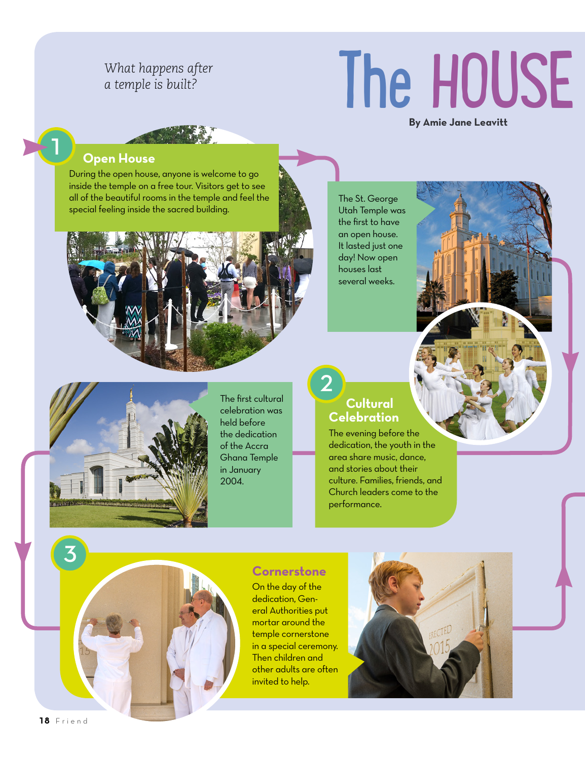### *What happens after a temple is built?*

# The HOUSE

**By Amie Jane Leavitt**

#### **1 Open House**

During the open house, anyone is welcome to go inside the temple on a free tour. Visitors get to see all of the beautiful rooms in the temple and feel the special feeling inside the sacred building.





The first cultural celebration was held before the dedication of the Accra Ghana Temple in January 2004.

## **2 Cultural Celebration**

The St. George Utah Temple was the first to have an open house. It lasted just one day! Now open houses last several weeks.

The evening before the dedication, the youth in the area share music, dance, and stories about their culture. Families, friends, and Church leaders come to the performance.

### **Cornerstone**

On the day of the dedication, General Authorities put mortar around the temple cornerstone in a special ceremony. Then children and other adults are often invited to help.



**18** Friend

**3**